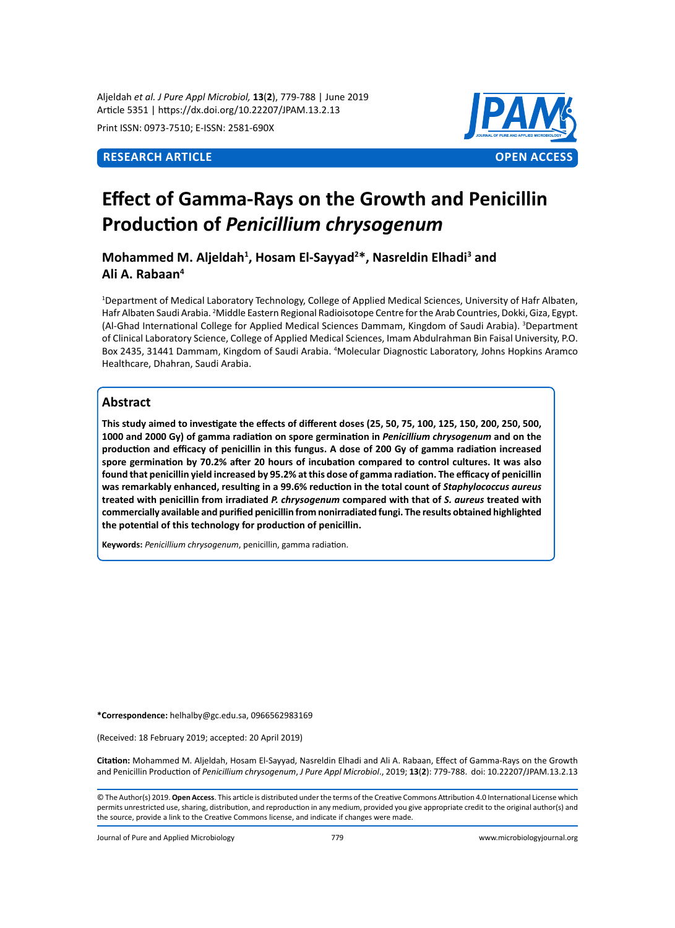Aljeldah *et al. J Pure Appl Microbiol,* **13**(**2**), 779-788 | June 2019 Article 5351 | https://dx.doi.org/10.22207/JPAM.13.2.13

Print ISSN: 0973-7510; E-ISSN: 2581-690X



# **Effect of Gamma-Rays on the Growth and Penicillin Production of** *Penicillium chrysogenum*

**Mohammed M. Aljeldah<sup>1</sup> , Hosam El-Sayyad<sup>2</sup> \*, Nasreldin Elhadi<sup>3</sup> and Ali A. Rabaan<sup>4</sup>**

1 Department of Medical Laboratory Technology, College of Applied Medical Sciences, University of Hafr Albaten, Hafr Albaten Saudi Arabia. <sup>2</sup>Middle Eastern Regional Radioisotope Centre for the Arab Countries, Dokki, Giza, Egypt. (Al-Ghad International College for Applied Medical Sciences Dammam, Kingdom of Saudi Arabia). <sup>3</sup>Department of Clinical Laboratory Science, College of Applied Medical Sciences, Imam Abdulrahman Bin Faisal University, P.O. Box 2435, 31441 Dammam, Kingdom of Saudi Arabia. 4 Molecular Diagnostic Laboratory, Johns Hopkins Aramco Healthcare, Dhahran, Saudi Arabia.

# **Abstract**

**This study aimed to investigate the effects of different doses (25, 50, 75, 100, 125, 150, 200, 250, 500, 1000 and 2000 Gy) of gamma radiation on spore germination in** *Penicillium chrysogenum* **and on the production and efficacy of penicillin in this fungus. A dose of 200 Gy of gamma radiation increased spore germination by 70.2% after 20 hours of incubation compared to control cultures. It was also found that penicillin yield increased by 95.2% at this dose of gamma radiation. The efficacy of penicillin was remarkably enhanced, resulting in a 99.6% reduction in the total count of** *Staphylococcus aureus* **treated with penicillin from irradiated** *P. chrysogenum* **compared with that of** *S. aureus* **treated with commercially available and purified penicillin from nonirradiated fungi. The results obtained highlighted the potential of this technology for production of penicillin.**

**Keywords:** *Penicillium chrysogenum*, penicillin, gamma radiation.

**\*Correspondence:** helhalby@gc.edu.sa, 0966562983169

(Received: 18 February 2019; accepted: 20 April 2019)

**Citation:** Mohammed M. Aljeldah, Hosam El-Sayyad, Nasreldin Elhadi and Ali A. Rabaan, Effect of Gamma-Rays on the Growth and Penicillin Production of *Penicillium chrysogenum*, *J Pure Appl Microbiol*., 2019; **13**(**2**): 779-788. doi: 10.22207/JPAM.13.2.13

© The Author(s) 2019. **Open Access**. This article is distributed under the terms of the Creative Commons Attribution 4.0 International License which permits unrestricted use, sharing, distribution, and reproduction in any medium, provided you give appropriate credit to the original author(s) and the source, provide a link to the Creative Commons license, and indicate if changes were made.

Journal of Pure and Applied Microbiology 779 www.microbiologyjournal.org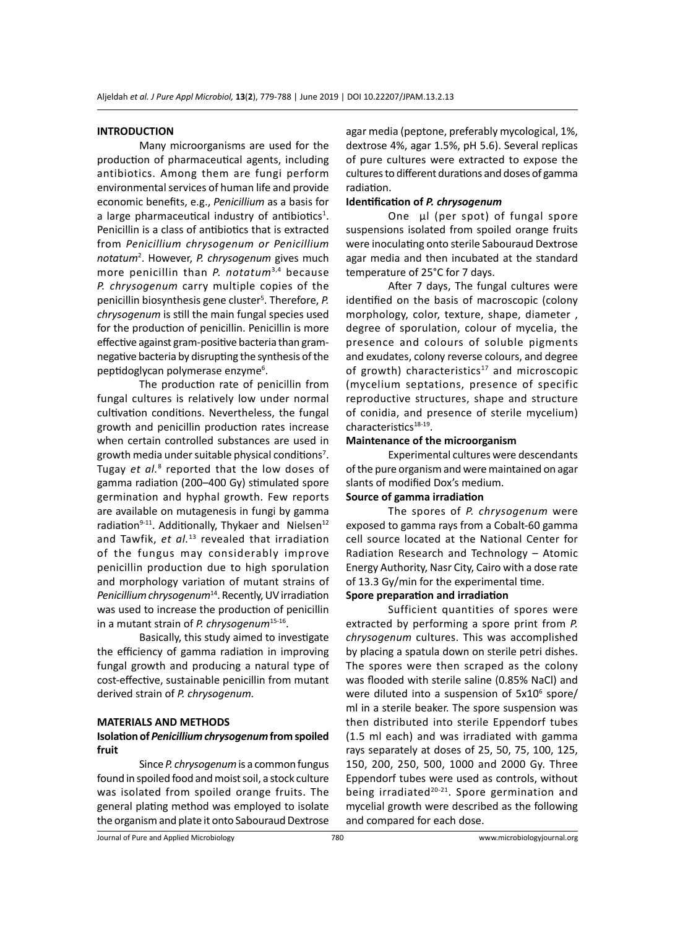#### **INTRODUCTION**

Many microorganisms are used for the production of pharmaceutical agents, including antibiotics. Among them are fungi perform environmental services of human life and provide economic benefits, e.g., *Penicillium* as a basis for a large pharmaceutical industry of antibiotics<sup>1</sup>. Penicillin is a class of antibiotics that is extracted from *Penicillium chrysogenum or Penicillium notatum*<sup>2</sup> . However, *P. chrysogenum* gives much more penicillin than *P. notatum*3,4 because *P. chrysogenum* carry multiple copies of the penicillin biosynthesis gene cluster<sup>5</sup>. Therefore, P. *chrysogenum* is still the main fungal species used for the production of penicillin. Penicillin is more effective against gram-positive bacteria than gramnegative bacteria by disrupting the synthesis of the peptidoglycan polymerase enzyme<sup>6</sup>.

The production rate of penicillin from fungal cultures is relatively low under normal cultivation conditions. Nevertheless, the fungal growth and penicillin production rates increase when certain controlled substances are used in growth media under suitable physical conditions<sup>7</sup>. Tugay et al.<sup>8</sup> reported that the low doses of gamma radiation (200–400 Gy) stimulated spore germination and hyphal growth. Few reports are available on mutagenesis in fungi by gamma radiation<sup>9-11</sup>. Additionally, Thykaer and Nielsen<sup>12</sup> and Tawfik, *et al.*13 revealed that irradiation of the fungus may considerably improve penicillin production due to high sporulation and morphology variation of mutant strains of *Penicillium chrysogenum*14. Recently, UV irradiation was used to increase the production of penicillin in a mutant strain of *P. chrysogenum*15-16.

Basically, this study aimed to investigate the efficiency of gamma radiation in improving fungal growth and producing a natural type of cost-effective, sustainable penicillin from mutant derived strain of *P. chrysogenum.*

#### **MATERIALS AND METHODS**

# **Isolation of** *Penicillium chrysogenum* **from spoiled fruit**

Since *P. chrysogenum* is a common fungus found in spoiled food and moist soil, a stock culture was isolated from spoiled orange fruits. The general plating method was employed to isolate the organism and plate it onto Sabouraud Dextrose agar media (peptone, preferably mycological, 1%, dextrose 4%, agar 1.5%, pH 5.6). Several replicas of pure cultures were extracted to expose the cultures to different durations and doses of gamma radiation.

# **Identification of** *P. chrysogenum*

One µl (per spot) of fungal spore suspensions isolated from spoiled orange fruits were inoculating onto sterile Sabouraud Dextrose agar media and then incubated at the standard temperature of 25°C for 7 days.

After 7 days, The fungal cultures were identified on the basis of macroscopic (colony morphology, color, texture, shape, diameter , degree of sporulation, colour of mycelia, the presence and colours of soluble pigments and exudates, colony reverse colours, and degree of growth) characteristics<sup>17</sup> and microscopic (mycelium septations, presence of specific reproductive structures, shape and structure of conidia, and presence of sterile mycelium) characteristics<sup>18-19</sup>.

# **Maintenance of the microorganism**

Experimental cultures were descendants of the pure organism and were maintained on agar slants of modified Dox's medium.

# **Source of gamma irradiation**

The spores of *P. chrysogenum* were exposed to gamma rays from a Cobalt-60 gamma cell source located at the National Center for Radiation Research and Technology – Atomic Energy Authority, Nasr City, Cairo with a dose rate of 13.3 Gy/min for the experimental time.

# **Spore preparation and irradiation**

Sufficient quantities of spores were extracted by performing a spore print from *P. chrysogenum* cultures. This was accomplished by placing a spatula down on sterile petri dishes. The spores were then scraped as the colony was flooded with sterile saline (0.85% NaCl) and were diluted into a suspension of 5x10<sup>6</sup> spore/ ml in a sterile beaker. The spore suspension was then distributed into sterile Eppendorf tubes (1.5 ml each) and was irradiated with gamma rays separately at doses of 25, 50, 75, 100, 125, 150, 200, 250, 500, 1000 and 2000 Gy. Three Eppendorf tubes were used as controls, without being irradiated<sup>20-21</sup>. Spore germination and mycelial growth were described as the following and compared for each dose.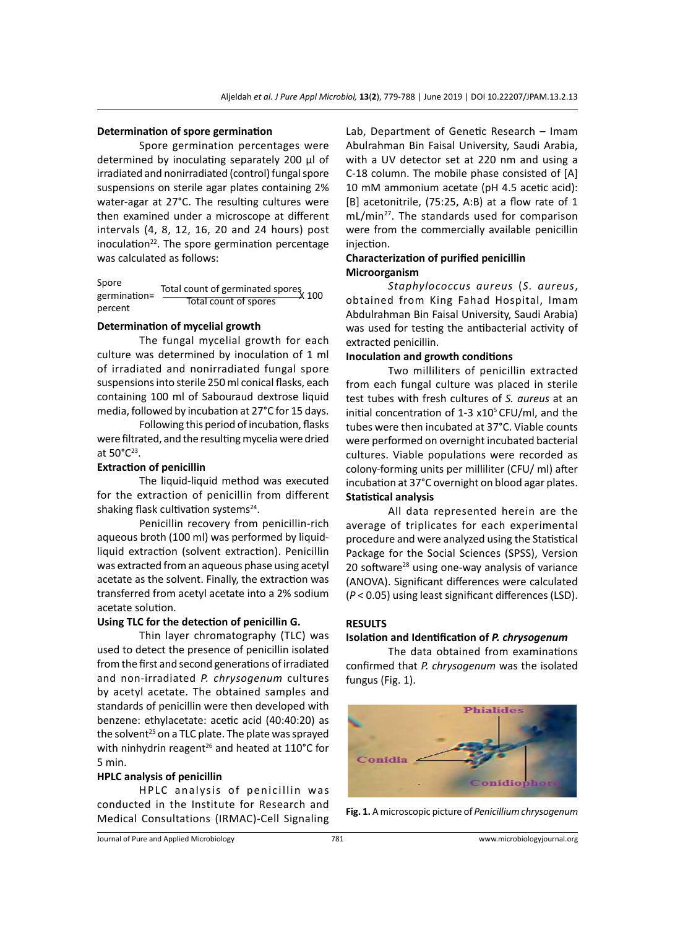#### **Determination of spore germination**

Spore germination percentages were determined by inoculating separately 200 µl of irradiated and nonirradiated (control) fungal spore suspensions on sterile agar plates containing 2% water-agar at 27°C. The resulting cultures were then examined under a microscope at different intervals (4, 8, 12, 16, 20 and 24 hours) post inoculation $22$ . The spore germination percentage was calculated as follows:

Spore Spore<br>germination= Total count of germinated spores<br>X 100 percent Total count of spores

#### **Determination of mycelial growth**

The fungal mycelial growth for each culture was determined by inoculation of 1 ml of irradiated and nonirradiated fungal spore suspensions into sterile 250 ml conical flasks, each containing 100 ml of Sabouraud dextrose liquid media, followed by incubation at 27°C for 15 days.

Following this period of incubation, flasks were filtrated, and the resulting mycelia were dried at 50°C23.

# **Extraction of penicillin**

The liquid-liquid method was executed for the extraction of penicillin from different shaking flask cultivation systems<sup>24</sup>.

Penicillin recovery from penicillin-rich aqueous broth (100 ml) was performed by liquidliquid extraction (solvent extraction). Penicillin was extracted from an aqueous phase using acetyl acetate as the solvent. Finally, the extraction was transferred from acetyl acetate into a 2% sodium acetate solution.

#### **Using TLC for the detection of penicillin G.**

Thin layer chromatography (TLC) was used to detect the presence of penicillin isolated from the first and second generations of irradiated and non-irradiated *P. chrysogenum* cultures by acetyl acetate. The obtained samples and standards of penicillin were then developed with benzene: ethylacetate: acetic acid (40:40:20) as the solvent<sup>25</sup> on a TLC plate. The plate was sprayed with ninhydrin reagent<sup>26</sup> and heated at  $110^{\circ}$ C for 5 min.

#### **HPLC analysis of penicillin**

HPLC analysis of penicillin was conducted in the Institute for Research and Medical Consultations (IRMAC)-Cell Signaling Lab, Department of Genetic Research – Imam Abulrahman Bin Faisal University, Saudi Arabia, with a UV detector set at 220 nm and using a C-18 column. The mobile phase consisted of [A] 10 mM ammonium acetate (pH 4.5 acetic acid): [B] acetonitrile, (75:25, A:B) at a flow rate of 1 mL/min<sup>27</sup>. The standards used for comparison were from the commercially available penicillin injection.

### **Characterization of purified penicillin Microorganism**

*Staphylococcus aureus* (*S. aureus*, obtained from King Fahad Hospital, Imam Abdulrahman Bin Faisal University, Saudi Arabia) was used for testing the antibacterial activity of extracted penicillin.

#### **Inoculation and growth conditions**

Two milliliters of penicillin extracted from each fungal culture was placed in sterile test tubes with fresh cultures of *S. aureus* at an initial concentration of 1-3  $x10<sup>5</sup>$  CFU/ml, and the tubes were then incubated at 37°C. Viable counts were performed on overnight incubated bacterial cultures. Viable populations were recorded as colony-forming units per milliliter (CFU/ ml) after incubation at 37°C overnight on blood agar plates. **Statistical analysis**

All data represented herein are the average of triplicates for each experimental procedure and were analyzed using the Statistical Package for the Social Sciences (SPSS), Version 20 software<sup>28</sup> using one-way analysis of variance (ANOVA). Significant differences were calculated (*P* < 0.05) using least significant differences (LSD).

# **RESULTS**

#### **Isolation and Identification of** *P. chrysogenum*

The data obtained from examinations confirmed that *P. chrysogenum* was the isolated fungus (Fig. 1).



**Fig. 1.** A microscopic picture of *Penicillium chrysogenum*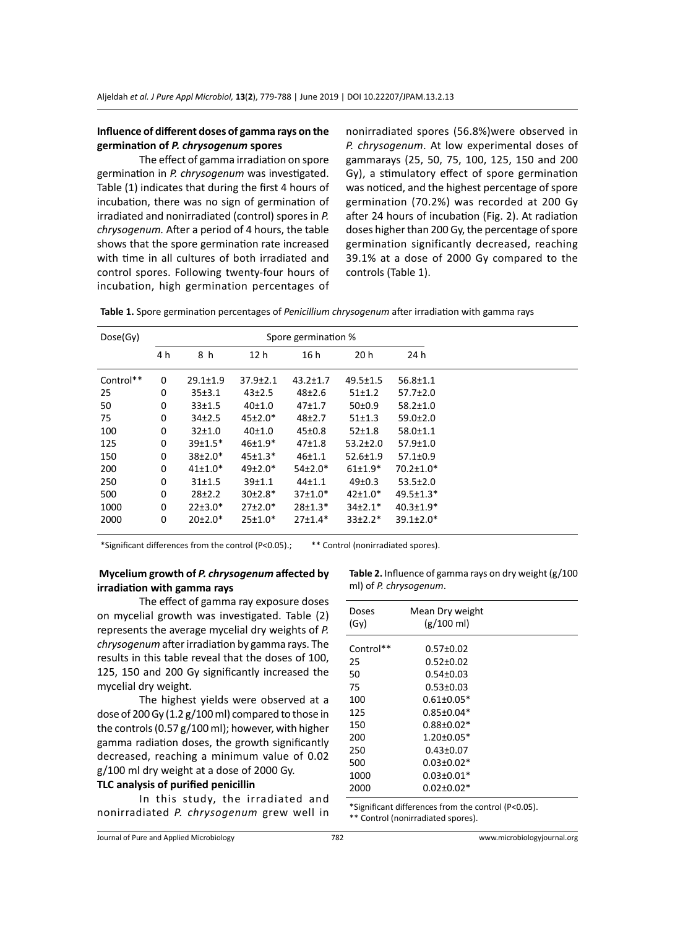# **Influence of different doses of gamma rays on the germination of** *P. chrysogenum* **spores**

The effect of gamma irradiation on spore germination in *P. chrysogenum* was investigated. Table (1) indicates that during the first 4 hours of incubation, there was no sign of germination of irradiated and nonirradiated (control) spores in *P. chrysogenum.* After a period of 4 hours, the table shows that the spore germination rate increased with time in all cultures of both irradiated and control spores. Following twenty-four hours of incubation, high germination percentages of

nonirradiated spores (56.8%)were observed in *P. chrysogenum*. At low experimental doses of gammarays (25, 50, 75, 100, 125, 150 and 200 Gy), a stimulatory effect of spore germination was noticed, and the highest percentage of spore germination (70.2%) was recorded at 200 Gy after 24 hours of incubation (Fig. 2). At radiation doses higher than 200 Gy, the percentage of spore germination significantly decreased, reaching 39.1% at a dose of 2000 Gy compared to the controls (Table 1).

**Table 1.** Spore germination percentages of *Penicillium chrysogenum* after irradiation with gamma rays

| Dose(Gy)  | Spore germination % |                   |                 |                |                |                 |
|-----------|---------------------|-------------------|-----------------|----------------|----------------|-----------------|
|           | 4 h                 | 8 h               | 12 <sub>h</sub> | 16h            | 20h            | 24 h            |
| Control** | 0                   | $29.1 \pm 1.9$    | $37.9 \pm 2.1$  | $43.2 \pm 1.7$ | $49.5 \pm 1.5$ | $56.8 \pm 1.1$  |
| 25        | 0                   | 35±3.1            | $43 \pm 2.5$    | $48+2.6$       | 51±1.2         | $57.7 \pm 2.0$  |
| 50        | 0                   | 33±1.5            | 40±1.0          | $47+1.7$       | 50±0.9         | $58.2 \pm 1.0$  |
| 75        | 0                   | 34 <sub>2.5</sub> | $45±2.0*$       | $48+2.7$       | 51±1.3         | $59.0 \pm 2.0$  |
| 100       | 0                   | $32+1.0$          | 40±1.0          | 45±0.8         | $52 \pm 1.8$   | $58.0 \pm 1.1$  |
| 125       | 0                   | $39+1.5*$         | $46+1.9*$       | $47 + 1.8$     | $53.2 \pm 2.0$ | $57.9 \pm 1.0$  |
| 150       | 0                   | $38±2.0*$         | $45 \pm 1.3*$   | $46 + 1.1$     | $52.6 \pm 1.9$ | $57.1 \pm 0.9$  |
| 200       | 0                   | $41 \pm 1.0*$     | $49\pm2.0*$     | $54±2.0*$      | $61±1.9*$      | $70.2 \pm 1.0*$ |
| 250       | 0                   | 31±1.5            | 39±1.1          | $44 + 1.1$     | 49±0.3         | $53.5 \pm 2.0$  |
| 500       | 0                   | $28+2.2$          | $30±2.8*$       | $37±1.0*$      | $42 \pm 1.0*$  | $49.5 \pm 1.3*$ |
| 1000      | 0                   | $22+3.0*$         | $27 \pm 2.0*$   | $28+1.3*$      | $34+2.1*$      | $40.3 \pm 1.9*$ |
| 2000      | 0                   | $20±2.0*$         | $25±1.0*$       | $27 \pm 1.4*$  | $33 \pm 2.2*$  | $39.1 \pm 2.0*$ |

\*Significant differences from the control (P<0.05).; \*\* Control (nonirradiated spores).

# **Mycelium growth of** *P. chrysogenum* **affected by irradiation with gamma rays**

The effect of gamma ray exposure doses on mycelial growth was investigated. Table (2) represents the average mycelial dry weights of *P. chrysogenum* after irradiation by gamma rays. The results in this table reveal that the doses of 100, 125, 150 and 200 Gy significantly increased the mycelial dry weight.

The highest yields were observed at a dose of 200 Gy (1.2 g/100 ml) compared to those in the controls (0.57 g/100 ml); however, with higher gamma radiation doses, the growth significantly decreased, reaching a minimum value of 0.02 g/100 ml dry weight at a dose of 2000 Gy.

#### **TLC analysis of purified penicillin**

In this study, the irradiated and nonirradiated *P. chrysogenum* grew well in **Table 2.** Influence of gamma rays on dry weight (g/100 ml) of *P. chrysogenum*.

| Doses<br>(Gy) | Mean Dry weight<br>$(g/100 \text{ ml})$ |  |
|---------------|-----------------------------------------|--|
| Control**     | $0.57 \pm 0.02$                         |  |
| 25            | $0.52 \pm 0.02$                         |  |
| 50            | $0.54 \pm 0.03$                         |  |
| 75            | $0.53 \pm 0.03$                         |  |
| 100           | $0.61 \pm 0.05*$                        |  |
| 125           | $0.85 \pm 0.04*$                        |  |
| 150           | $0.88 \pm 0.02*$                        |  |
| 200           | $1.20 \pm 0.05*$                        |  |
| 250           | $0.43 \pm 0.07$                         |  |
| 500           | $0.03 \pm 0.02*$                        |  |
| 1000          | $0.03 \pm 0.01*$                        |  |
| 2000          | $0.02 \pm 0.02*$                        |  |

\*Significant differences from the control (P<0.05). \*\* Control (nonirradiated spores).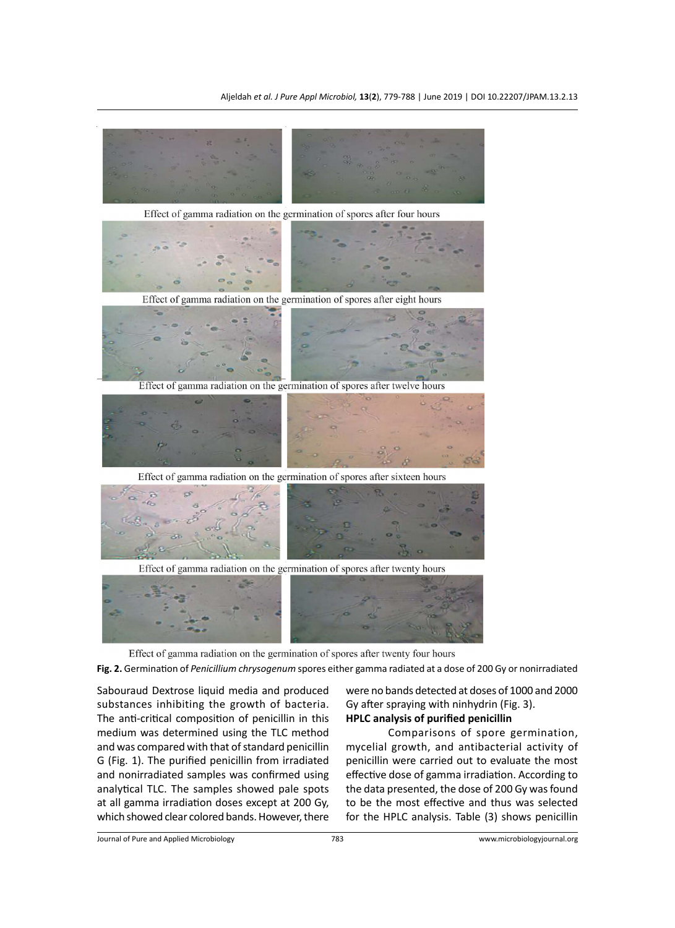

Effect of gamma radiation on the germination of spores after sixteen hours



Effect of gamma radiation on the germination of spores after twenty hours



Effect of gamma radiation on the germination of spores after twenty four hours

**Fig. 2.** Germination of *Penicillium chrysogenum* spores either gamma radiated at a dose of 200 Gy or nonirradiated

Sabouraud Dextrose liquid media and produced substances inhibiting the growth of bacteria. The anti-critical composition of penicillin in this medium was determined using the TLC method and was compared with that of standard penicillin G (Fig. 1). The purified penicillin from irradiated and nonirradiated samples was confirmed using analytical TLC. The samples showed pale spots at all gamma irradiation doses except at 200 Gy, which showed clear colored bands. However, there

were no bands detected at doses of 1000 and 2000 Gy after spraying with ninhydrin (Fig. 3). **HPLC analysis of purified penicillin**

Comparisons of spore germination, mycelial growth, and antibacterial activity of penicillin were carried out to evaluate the most effective dose of gamma irradiation. According to the data presented, the dose of 200 Gy was found to be the most effective and thus was selected for the HPLC analysis. Table (3) shows penicillin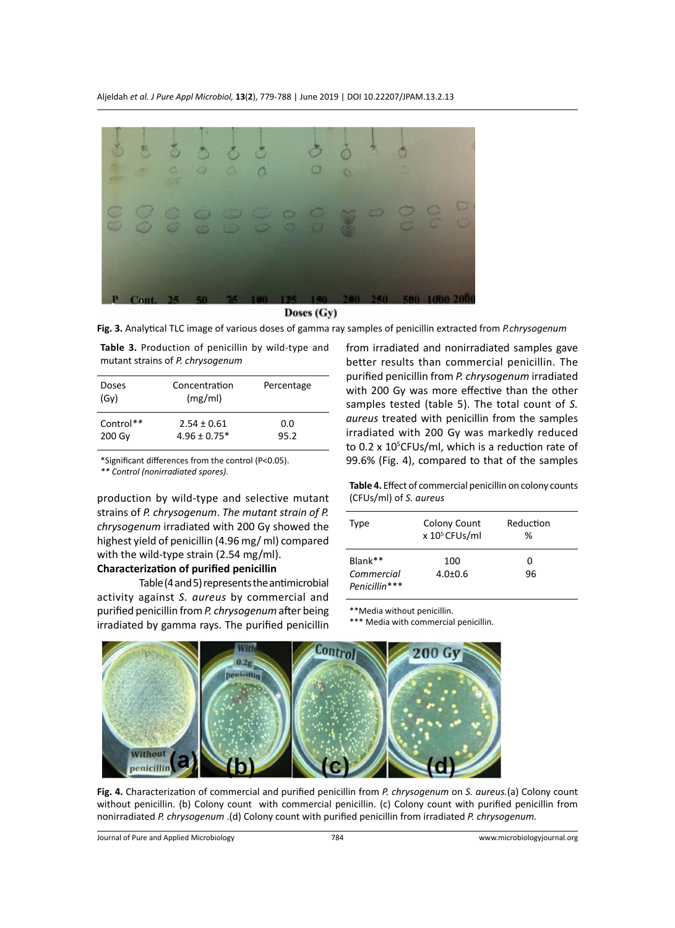

Doses (Gy)

**Fig. 3.** Analytical TLC image of various doses of gamma ray samples of penicillin extracted from *P.chrysogenum*

**Table 3.** Production of penicillin by wild-type and mutant strains of *P. chrysogenum*

| Doses<br>(GV)       | Concentration<br>(mg/ml)            | Percentage  |
|---------------------|-------------------------------------|-------------|
| Control**<br>200 Gy | $2.54 \pm 0.61$<br>$4.96 \pm 0.75*$ | 0.0<br>95.2 |

\*Significant differences from the control (P<0.05).

*\*\* Control (nonirradiated spores).*

production by wild-type and selective mutant strains of *P. chrysogenum*. *The mutant strain of P. chrysogenum* irradiated with 200 Gy showed the highest yield of penicillin (4.96 mg/ ml) compared with the wild-type strain (2.54 mg/ml).

# **Characterization of purified penicillin**

Table (4 and 5) represents the antimicrobial activity against *S. aureus* by commercial and purified penicillin from *P. chrysogenum* after being irradiated by gamma rays. The purified penicillin from irradiated and nonirradiated samples gave better results than commercial penicillin. The purified penicillin from *P. chrysogenum* irradiated with 200 Gy was more effective than the other samples tested (table 5). The total count of *S. aureus* treated with penicillin from the samples irradiated with 200 Gy was markedly reduced to 0.2 x 10<sup>5</sup>CFUs/ml, which is a reduction rate of 99.6% (Fig. 4), compared to that of the samples

**Table 4.** Effect of commercial penicillin on colony counts (CFUs/ml) of *S. aureus*

| Type          | Colony Count<br>$x 105$ CFUs/ml | Reduction<br>℅ |  |
|---------------|---------------------------------|----------------|--|
| $Blank**$     | 100                             | O              |  |
| Commercial    | $4.0 \pm 0.6$                   | 96             |  |
| Penicillin*** |                                 |                |  |

\*\*Media without penicillin.

\*\*\* Media with commercial penicillin.



**Fig. 4.** Characterization of commercial and purified penicillin from *P. chrysogenum* on *S. aureus.*(a) Colony count without penicillin. (b) Colony count with commercial penicillin. (c) Colony count with purified penicillin from nonirradiated *P. chrysogenum* .(d) Colony count with purified penicillin from irradiated *P. chrysogenum.*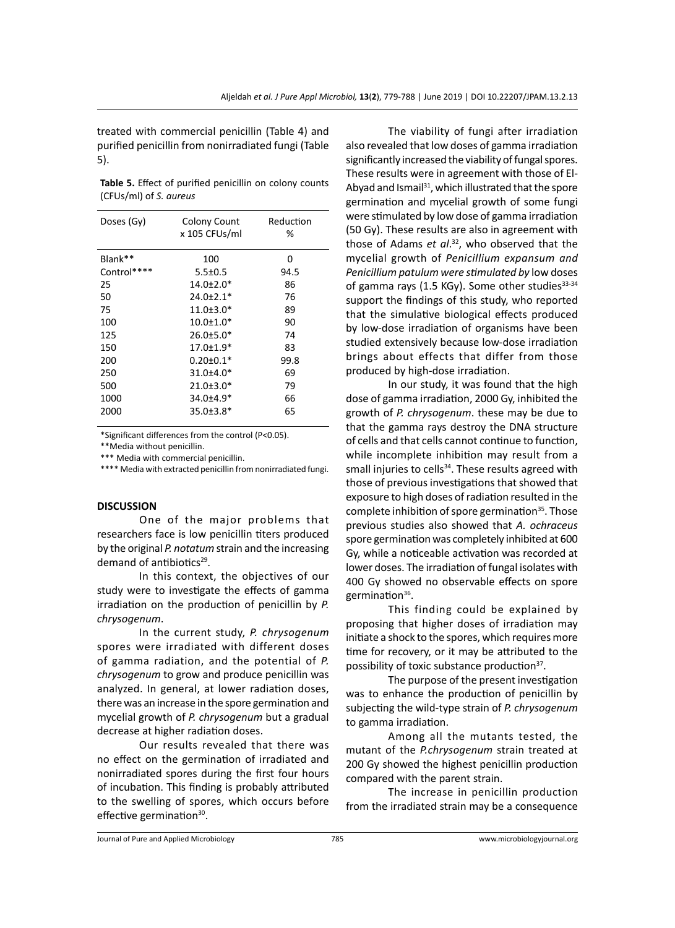treated with commercial penicillin (Table 4) and purified penicillin from nonirradiated fungi (Table 5).

**Table 5.** Effect of purified penicillin on colony counts (CFUs/ml) of *S. aureus*

| Doses (Gy)  | Colony Count    | Reduction |  |
|-------------|-----------------|-----------|--|
|             | x 105 CFUs/ml   | ℅         |  |
| Blank**     | 100             | 0         |  |
| Control**** | $5.5 \pm 0.5$   | 94.5      |  |
| 25          | 14.0±2.0*       | 86        |  |
| 50          | $24.0 \pm 2.1*$ | 76        |  |
| 75          | $11.0 \pm 3.0*$ | 89        |  |
| 100         | $10.0 \pm 1.0*$ | 90        |  |
| 125         | $26.0 \pm 5.0*$ | 74        |  |
| 150         | 17.0±1.9*       | 83        |  |
| 200         | $0.20 \pm 0.1*$ | 99.8      |  |
| 250         | 31.0±4.0*       | 69        |  |
| 500         | $21.0 \pm 3.0*$ | 79        |  |
| 1000        | 34.0±4.9*       | 66        |  |
| 2000        | $35.0 \pm 3.8*$ | 65        |  |
|             |                 |           |  |

\*Significant differences from the control (P<0.05).

\*\*Media without penicillin.

\*\*\* Media with commercial penicillin.

\*\*\*\* Media with extracted penicillin from nonirradiated fungi.

#### **DISCUSSION**

One of the major problems that researchers face is low penicillin titers produced by the original *P. notatum*strain and the increasing demand of antibiotics<sup>29</sup>.

In this context, the objectives of our study were to investigate the effects of gamma irradiation on the production of penicillin by *P. chrysogenum*.

In the current study, *P. chrysogenum* spores were irradiated with different doses of gamma radiation, and the potential of *P. chrysogenum* to grow and produce penicillin was analyzed. In general, at lower radiation doses, there was an increase in the spore germination and mycelial growth of *P. chrysogenum* but a gradual decrease at higher radiation doses.

Our results revealed that there was no effect on the germination of irradiated and nonirradiated spores during the first four hours of incubation. This finding is probably attributed to the swelling of spores, which occurs before effective germination<sup>30</sup>.

The viability of fungi after irradiation also revealed that low doses of gamma irradiation significantly increased the viability of fungal spores. These results were in agreement with those of El-Abyad and Ismail<sup>31</sup>, which illustrated that the spore germination and mycelial growth of some fungi were stimulated by low dose of gamma irradiation (50 Gy). These results are also in agreement with those of Adams *et al*. <sup>32</sup>, who observed that the mycelial growth of *Penicillium expansum and Penicillium patulum were stimulated by* low doses of gamma rays (1.5 KGy). Some other studies $33-34$ support the findings of this study, who reported that the simulative biological effects produced by low-dose irradiation of organisms have been studied extensively because low-dose irradiation brings about effects that differ from those produced by high-dose irradiation.

In our study, it was found that the high dose of gamma irradiation, 2000 Gy, inhibited the growth of *P. chrysogenum*. these may be due to that the gamma rays destroy the DNA structure of cells and that cells cannot continue to function, while incomplete inhibition may result from a small injuries to cells<sup>34</sup>. These results agreed with those of previous investigations that showed that exposure to high doses of radiation resulted in the complete inhibition of spore germination $35$ . Those previous studies also showed that *A. ochraceus* spore germination was completely inhibited at 600 Gy, while a noticeable activation was recorded at lower doses. The irradiation of fungal isolates with 400 Gy showed no observable effects on spore germination $36$ .

This finding could be explained by proposing that higher doses of irradiation may initiate a shock to the spores, which requires more time for recovery, or it may be attributed to the possibility of toxic substance production<sup>37</sup>.

The purpose of the present investigation was to enhance the production of penicillin by subjecting the wild-type strain of *P. chrysogenum* to gamma irradiation.

Among all the mutants tested, the mutant of the *P.chrysogenum* strain treated at 200 Gy showed the highest penicillin production compared with the parent strain.

The increase in penicillin production from the irradiated strain may be a consequence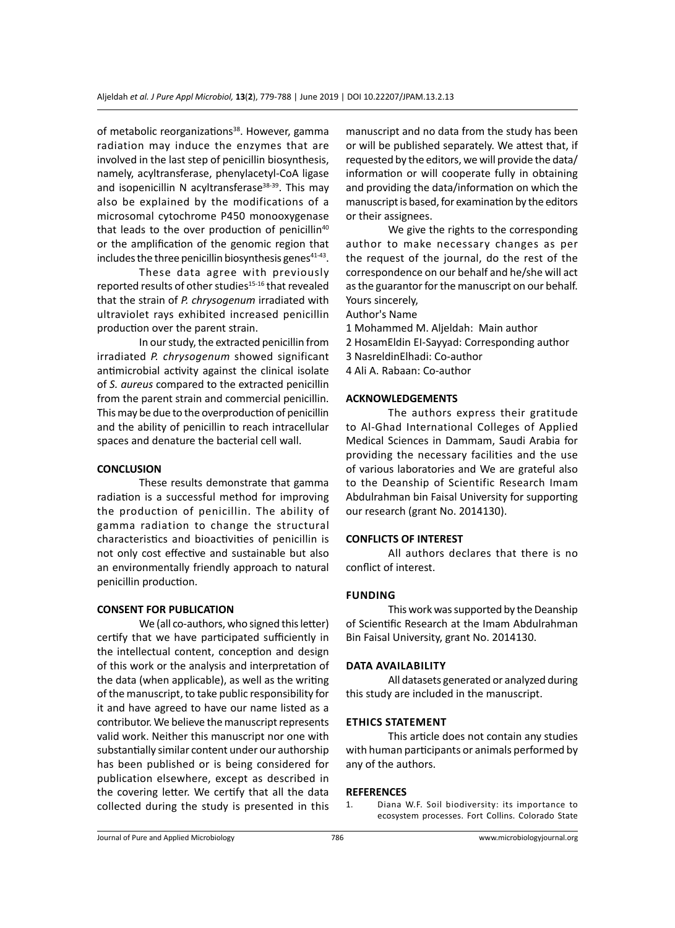of metabolic reorganizations<sup>38</sup>. However, gamma radiation may induce the enzymes that are involved in the last step of penicillin biosynthesis, namely, acyltransferase, phenylacetyl-CoA ligase and isopenicillin N acyltransferase $38-39$ . This may also be explained by the modifications of a microsomal cytochrome P450 monooxygenase that leads to the over production of penicillin<sup>40</sup> or the amplification of the genomic region that includes the three penicillin biosynthesis genes $41-43$ .

These data agree with previously reported results of other studies<sup>15-16</sup> that revealed that the strain of *P. chrysogenum* irradiated with ultraviolet rays exhibited increased penicillin production over the parent strain.

In our study, the extracted penicillin from irradiated *P. chrysogenum* showed significant antimicrobial activity against the clinical isolate of *S. aureus* compared to the extracted penicillin from the parent strain and commercial penicillin. This may be due to the overproduction of penicillin and the ability of penicillin to reach intracellular spaces and denature the bacterial cell wall.

# **CONCLUSION**

These results demonstrate that gamma radiation is a successful method for improving the production of penicillin. The ability of gamma radiation to change the structural characteristics and bioactivities of penicillin is not only cost effective and sustainable but also an environmentally friendly approach to natural penicillin production.

# **CONSENT FOR PUBLICATION**

We (all co-authors, who signed this letter) certify that we have participated sufficiently in the intellectual content, conception and design of this work or the analysis and interpretation of the data (when applicable), as well as the writing of the manuscript, to take public responsibility for it and have agreed to have our name listed as a contributor. We believe the manuscript represents valid work. Neither this manuscript nor one with substantially similar content under our authorship has been published or is being considered for publication elsewhere, except as described in the covering letter. We certify that all the data collected during the study is presented in this manuscript and no data from the study has been or will be published separately. We attest that, if requested by the editors, we will provide the data/ information or will cooperate fully in obtaining and providing the data/information on which the manuscript is based, for examination by the editors or their assignees.

We give the rights to the corresponding author to make necessary changes as per the request of the journal, do the rest of the correspondence on our behalf and he/she will act as the guarantor for the manuscript on our behalf. Yours sincerely,

Author's Name

- 1 Mohammed M. Aljeldah: Main author
- 2 HosamEldin EI-Sayyad: Corresponding author
- 3 NasreldinElhadi: Co-author

4 Ali A. Rabaan: Co-author

#### **ACKNOWLEDGEMENTS**

The authors express their gratitude to Al-Ghad International Colleges of Applied Medical Sciences in Dammam, Saudi Arabia for providing the necessary facilities and the use of various laboratories and We are grateful also to the Deanship of Scientific Research Imam Abdulrahman bin Faisal University for supporting our research (grant No. 2014130).

#### **CONFLICTS OF INTEREST**

All authors declares that there is no conflict of interest.

#### **Funding**

This work was supported by the Deanship of Scientific Research at the Imam Abdulrahman Bin Faisal University, grant No. 2014130.

#### **Data availability**

All datasets generated or analyzed during this study are included in the manuscript.

# **Ethics Statement**

This article does not contain any studies with human participants or animals performed by any of the authors.

# **REFERENCES**<br>1. Diana

Diana W.F. Soil biodiversity: its importance to ecosystem processes. Fort Collins. Colorado State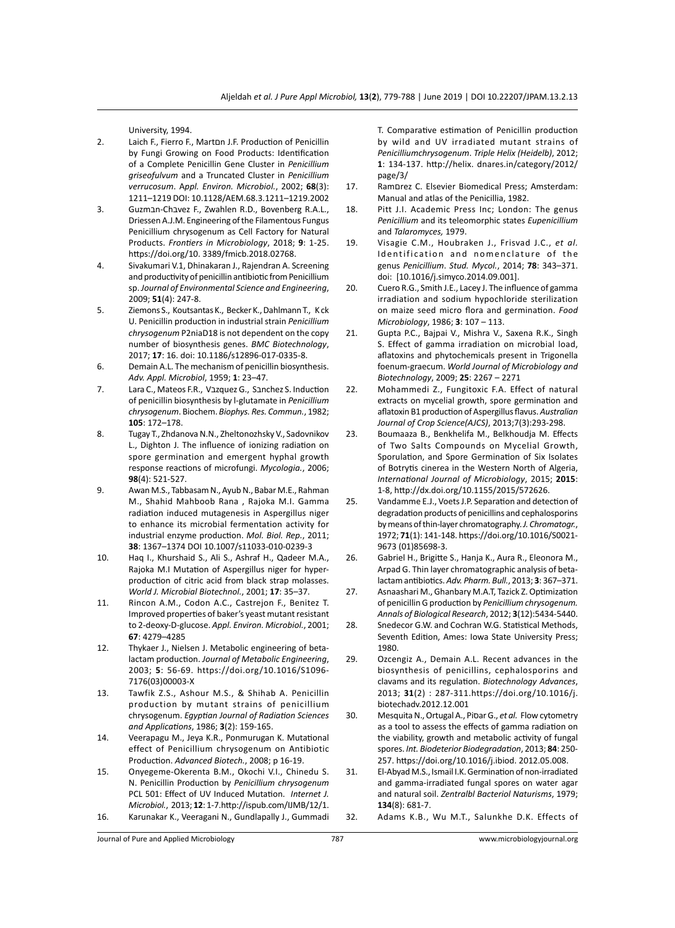University, 1994.

- 2. Laich F., Fierro F., Martםn J.F. Production of Penicillin by Fungi Growing on Food Products: Identification of a Complete Penicillin Gene Cluster in *Penicillium griseofulvum* and a Truncated Cluster in *Penicillium verrucosum*. A*ppl. Environ. Microbiol.*, 2002; **68**(3): 1211–1219 DOI: 10.1128/AEM.68.3.1211–1219.2002
- 3. Guzmבn-Chבvez F., Zwahlen R.D., Bovenberg R.A.L., Driessen A.J.M. Engineering of the Filamentous Fungus Penicillium chrysogenum as Cell Factory for Natural Products. *Frontiers in Microbiology*, 2018; **9**: 1-25. https://doi.org/10. 3389/fmicb.2018.02768.
- 4. Sivakumari V.1, Dhinakaran J., Rajendran A. Screening and productivity of penicillin antibiotic from Penicillium sp. *Journal of Environmental Science and Engineering*, 2009; **51**(4): 247-8.
- 5. Ziemons S., Koutsantas K., Becker K.,Dahlmann T., K ck U. Penicillin production in industrial strain *Penicillium chrysogenum* P2niaD18 is not dependent on the copy number of biosynthesis genes. *BMC Biotechnology*, 2017; **17**: 16. doi: 10.1186/s12896-017-0335-8.
- 6. Demain A.L. The mechanism of penicillin biosynthesis. *Adv. Appl. Microbiol*, 1959; **1**: 23–47.
- 7. Lara C., Mateos F.R., Vazquez G., Sanchez S. Induction of penicillin biosynthesis by l-glutamate in *Penicillium chrysogenum*. Biochem. *Biophys. Res. Commun.*, 1982; **105**: 172–178.
- 8. Tugay T., Zhdanova N.N., Zheltonozhsky V., Sadovnikov L., Dighton J. The influence of ionizing radiation on spore germination and emergent hyphal growth response reactions of microfungi. *Mycologia.*, 2006; **98**(4): 521-527.
- 9. Awan M.S., Tabbasam N., Ayub N., Babar M.E., Rahman M., Shahid Mahboob Rana , Rajoka M.I. Gamma radiation induced mutagenesis in Aspergillus niger to enhance its microbial fermentation activity for industrial enzyme production. *Mol. Biol. Rep.*, 2011; **38**: 1367–1374 DOI 10.1007/s11033-010-0239-3
- 10. Haq I., Khurshaid S., Ali S., Ashraf H., Qadeer M.A., Rajoka M.I Mutation of Aspergillus niger for hyperproduction of citric acid from black strap molasses. *World J. Microbial Biotechnol.*, 2001; **17**: 35–37.
- 11. Rincon A.M., Codon A.C., Castrejon F., Benitez T. Improved properties of baker's yeast mutant resistant to 2-deoxy-D-glucose. *Appl. Environ. Microbiol.*, 2001; **67**: 4279–4285
- 12. Thykaer J., Nielsen J. Metabolic engineering of betalactam production. *Journal of Metabolic Engineering*, 2003; **5**: 56-69. https://doi.org/10.1016/S1096- 7176(03)00003-X
- 13. Tawfik Z.S., Ashour M.S., & Shihab A. Penicillin production by mutant strains of penicillium chrysogenum. *Egyptian Journal of Radiation Sciences and Applications*, 1986; **3**(2): 159-165.
- 14. Veerapagu M., Jeya K.R., Ponmurugan K. Mutational effect of Penicillium chrysogenum on Antibiotic Production. *Advanced Biotech.*, 2008; p 16-19.
- 15. Onyegeme-Okerenta B.M., Okochi V.I., Chinedu S. N. Penicillin Production by *Penicillium chrysogenum*  PCL 501: Effect of UV Induced Mutation. *Internet J. Microbiol.*, 2013; **12**: 1-7.http://ispub.com/IJMB/12/1. 16. Karunakar K., Veeragani N., Gundlapally J., Gummadi

T. Comparative estimation of Penicillin production by wild and UV irradiated mutant strains of *Penicilliumchrysogenum*. *Triple Helix (Heidelb)*, 2012; **1**: 134-137. http://helix. dnares.in/category/2012/ page/3/

- 17. Ramםrez C. Elsevier Biomedical Press; Amsterdam: Manual and atlas of the Penicillia, 1982.
- 18. Pitt J.I. Academic Press Inc; London: The genus *Penicillium* and its teleomorphic states *Eupenicillium*  and *Talaromyces,* 1979.
- 19. Visagie C.M., Houbraken J., Frisvad J.C., *et al.* Identification and nomenclature of the genus *Penicillium*. *Stud. Mycol.*, 2014; **78**: 343–371. doi: [10.1016/j.simyco.2014.09.001].
- 20. Cuero R.G., Smith J.E., Lacey J. The influence of gamma irradiation and sodium hypochloride sterilization on maize seed micro flora and germination. *Food Microbiology*, 1986; **3**: 107 – 113.
- 21. Gupta P.C., Bajpai V., Mishra V., Saxena R.K., Singh S. Effect of gamma irradiation on microbial load, aflatoxins and phytochemicals present in Trigonella foenum-graecum. *World Journal of Microbiology and Biotechnology*, 2009; **25**: 2267 – 2271
- 22. Mohammedi Z., Fungitoxic F.A. Effect of natural extracts on mycelial growth, spore germination and aflatoxin B1 production of Aspergillus flavus. *Australian Journal of Crop Science(AJCS)*, 2013;7(3):293-298.
- 23. Boumaaza B., Benkhelifa M., Belkhoudja M. Effects of Two Salts Compounds on Mycelial Growth, Sporulation, and Spore Germination of Six Isolates of Botrytis cinerea in the Western North of Algeria, *International Journal of Microbiology*, 2015; **2015**: 1-8, http://dx.doi.org/10.1155/2015/572626.
- 25. Vandamme E.J., Voets J.P. Separation and detection of degradation products of penicillins and cephalosporins by means ofthin-layer chromatography. *J. Chromatogr.*, 1972; **71**(1): 141-148. https://doi.org/10.1016/S0021- 9673 (01)85698-3.
- 26. Gabriel H., Brigitte S., Hanja K., Aura R., Eleonora M., Arpad G. Thin layer chromatographic analysis of betalactam antibiotics. *Adv. Pharm. Bull.*, 2013; **3**: 367–371.
- 27. Asnaashari M., Ghanbary M.A.T, Tazick Z. Optimization of penicillin G production by *Penicillium chrysogenum. Annals of Biological Research*, 2012; **3**(12):5434-5440.
- 28. Snedecor G.W. and Cochran W.G. Statistical Methods, Seventh Edition, Ames: Iowa State University Press; 1980.
- 29. Ozcengiz A., Demain A.L. Recent advances in the biosynthesis of penicillins, cephalosporins and clavams and its regulation. *Biotechnology Advances*, 2013; **31**(2) : 287-311.https://doi.org/10.1016/j. biotechadv.2012.12.001
- 30. Mesquita N.,Ortugal A., Piסar G., *et al.* Flow cytometry as a tool to assess the effects of gamma radiation on the viability, growth and metabolic activity of fungal spores. *Int. Biodeterior Biodegradation*, 2013; **84**: 250- 257. https://doi.org/10.1016/j.ibiod. 2012.05.008.
- 31. El-Abyad M.S., Ismail I.K. Germination of non-irradiated and gamma-irradiated fungal spores on water agar and natural soil. *Zentralbl Bacteriol Naturisms*, 1979; **134**(8): 681-7.
- 32. Adams K.B., Wu M.T., Salunkhe D.K. Effects of